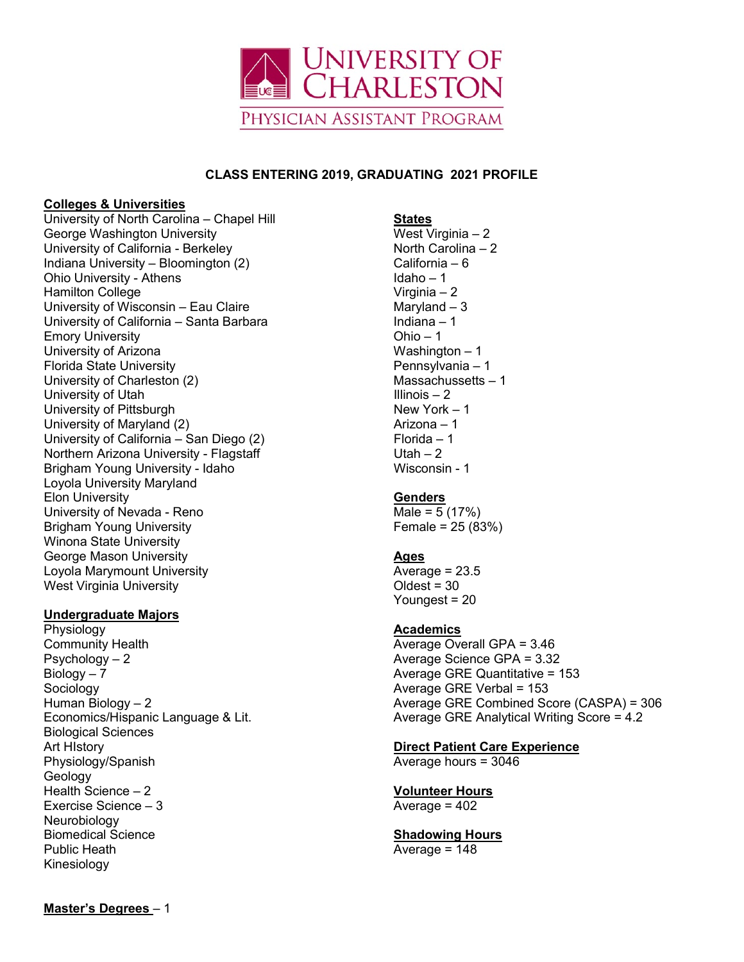

#### **CLASS ENTERING 2019, GRADUATING 2021 PROFILE**

#### **Colleges & Universities**

University of North Carolina – Chapel Hill George Washington University University of California - Berkeley Indiana University – Bloomington (2) Ohio University - Athens Hamilton College University of Wisconsin – Eau Claire University of California – Santa Barbara Emory University University of Arizona Florida State University University of Charleston (2) University of Utah University of Pittsburgh University of Maryland (2) University of California – San Diego (2) Northern Arizona University - Flagstaff Brigham Young University - Idaho Loyola University Maryland Elon University University of Nevada - Reno Brigham Young University Winona State University George Mason University Loyola Marymount University West Virginia University

## **Undergraduate Majors**

Physiology Community Health Psychology – 2  $Biolqq - 7$ **Sociology** Human Biology – 2 Economics/Hispanic Language & Lit. Biological Sciences Art HIstory Physiology/Spanish Geology Health Science – 2 Exercise Science – 3 Neurobiology Biomedical Science Public Heath Kinesiology

#### **States** West Virginia – 2 North Carolina – 2 California – 6 Idaho – 1 Virginia – 2 Maryland – 3 Indiana – 1 Ohio – 1 Washington – 1 Pennsylvania – 1 Massachussetts – 1 Illinois – 2 New York – 1 Arizona – 1 Florida – 1 Utah  $-2$ Wisconsin - 1

## **Genders**

 $Male = 5 (17%)$ Female =  $25 (83%)$ 

## **Ages**

Average = 23.5  $O$ ldest = 30 Youngest = 20

# **Academics**

Average Overall GPA = 3.46 Average Science GPA = 3.32 Average GRE Quantitative = 153 Average GRE Verbal = 153 Average GRE Combined Score (CASPA) = 306 Average GRE Analytical Writing Score = 4.2

**Direct Patient Care Experience**

Average hours = 3046

**Volunteer Hours** Average  $= 402$ 

**Shadowing Hours** Average = 148